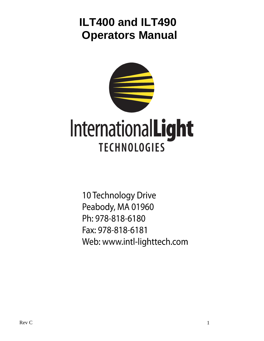# **ILT400 and ILT490 Operators Manual**



10 Technology Drive Peabody, MA 01960 Ph: 978-818-6180 Fax: 978-818-6181 Web: www.intl-lighttech.com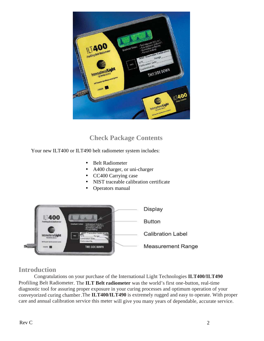

## **Check Package Contents**

Your new ILT400 or ILT490 belt radiometer system includes:

- Belt Radiometer
- A400 charger, or uni-charger
- CC400 Carrying case
- NIST traceable calibration certificate
- Operators manual



## **Introduction**

Congratulations on your purchase of the International Light Technologies **ILT400/ILT490** Profiling Belt Radiometer. The **ILT Belt radiometer** was the world's first one-button, real-time diagnostic tool for assuring proper exposure in your curing processes and optimum operation of your conveyorized curing chamber .The **ILT400/ILT490** is extremely rugged and easy to operate. With proper care and annual calibration service this meter will give you many years of dependable, accurate service.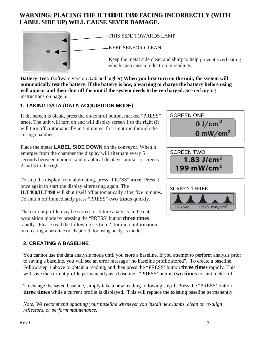## **WARNING: PLACING THE ILT400/ILT490 FACING INCORRECTLY (WITH LABEL SIDE UP) WILL CAUSE SEVER DAMAGE.**



THIS SIDE TOWARDS LAMP KEEP SENSOR CLEAN Keep the metal side clean and shiny to help prevent overheating which can cause a reduction in readings.

**Battery Test:** (software version 3.30 and higher) **When you first turn on the unit, the system will automatically test the battery. If the battery is low, a warning to charge the battery before using** will appear and then shut off the unit if the system needs to be re-charged. See recharging instructions on page 6.

### **1. TAKING DATA (DATA ACQUISITION MODE):**

If the screen is blank, press the on/control button, marked "PRESS" **once**. The unit will turn on and will display screen 1 to the right (It will turn off automatically in 5 minutes if it is not run through the curing chamber)

Place the meter **LABEL SIDE DOWN** on the conveyor. When it emerges from the chamber the display will alternate every 5 seconds between numeric and graphical displays similar to screens 2 and 3 to the right.

To stop the display from alternating, press "PRESS" **once**. Press it once again to start the display alternating again. The **ILT400/ILT490** will shut itself off automatically after five minutes. To shut it off immediately press "PRESS" **two times** quickly.

The current profile may be stored for future analysis in the data acquisition mode by pressing the "PRESS' button **three times** rapidly.. Please read the following section 2. for more information on creating a baseline or chapter 3. for using analysis mode.

## **2. CREATING A BASELINE**

You cannot use the data analysis mode until you store a baseline. If you attempt to perform analysis prior to saving a baseline, you will see an error message "no baseline profile stored". To create a baseline, Follow step 1 above to obtain a reading, and then press the "PRESS' button **three times** rapidly. This will save the current profile permanently as a baseline. "PRESS' button **two times** to shut meter off.

To change the saved baseline, simply take a new reading following step 1. Press the "PRESS' button **three times** while a current profile is displayed. This will replace the existing baseline permanently

*Note: We recommend updating your baseline whenever you install new lamps, clean or re-align reflectors, or perform maintenance.* 





199 mW/cm<sup>2</sup>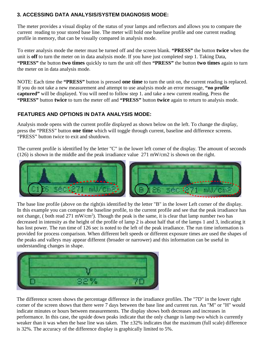#### **3. ACCESSING DATA ANALYSIS/SYSTEM DIAGNOSIS MODE:**

The meter provides a visual display of the status of your lamps and reflectors and allows you to compare the current reading to your stored base line. The meter will hold one baseline profile and one current reading profile in memory, that can be visually compared in analysis mode.

To enter analysis mode the meter must be turned off and the screen blank. **"PRESS"** the button **twice** when the unit is **off** to turn the meter on in data analysis mode. If you have just completed step 1. Taking Data, **"PRESS"** the button **two times** quickly to turn the unit off then **"PRESS"** the button **two times** again to turn the meter on in data analysis mode.

NOTE: Each time the **"PRESS"** button is pressed **one time** to turn the unit on, the current reading is replaced. If you do not take a new measurement and attempt to use analysis mode an error message, **"no profile captured"** will be displayed. You will need to follow step 1. and take a new current reading, Press the **"PRESS"** button **twice** to turn the meter off and **"PRESS"** button **twice** again to return to analysis mode.

#### **FEATURES AND OPTIONS IN DATA ANALYSIS MODE:**

Analysis mode opens with the current profile displayed as shown below on the left. To change the display, press the "PRESS" button **one time** which will toggle through current, baseline and difference screens. "PRESS" button twice to exit and shutdown.

The current profile is identified by the letter "C" in the lower left corner of the display. The amount of seconds (126) is shown in the middle and the peak irradiance value 271 mW/cm2 is shown on the right.



The base line profile (above on the right)is identified by the letter "B" in the lower Left corner of the display. In this example you can compare the baseline profile, to the current profile and see that the peak irradiance has not change, (both read 271 mW/cm<sup>2</sup>). Though the peak is the same, it is clear that lamp number two has decreased in intensity as the height of the profile of lamp 2 is about half that of the lamps 1 and 3, indicating it has lost power. The run time of 126 sec is noted to the left of the peak irradiance. The run time information is provided for process comparison. When different belt speeds or different exposure times are used the shapes of the peaks and valleys may appear different (broader or narrower) and this information can be useful in understanding changes in shape.



weaker than it was when the base line was taken. The  $\pm 32\%$  indicates that the maximum (full scale) difference The difference screen shows the percentage difference in the irradiance profiles. The "7D" in the lower right corner of the screen shows that there were 7 days between the base line and current run. An "M" or "H" would indicate minutes or hours between measurements. The display shows both decreases and increases in performance. In this case, the upside down peaks indicate that the only change is lamp two which is currently is 32%. The accuracy of the difference display is graphically limited to 5%.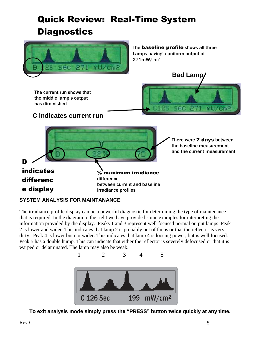## Quick Review: Real-Time System **Diagnostics**



#### **SYSTEM ANALYSIS FOR MAINTANANCE**

The irradiance profile display can be a powerful diagnostic for determining the type of maintenance that is required. In the diagram to the right we have provided some examples for interpreting the information provided by the display. Peaks 1 and 3 represent well focused normal output lamps. Peak 2 is lower and wider. This indicates that lamp 2 is probably out of focus or that the reflector is very dirty. Peak 4 is lower but not wider. This indicates that lamp 4 is loosing power, but is well focused. Peak 5 has a double hump. This can indicate that either the reflector is severely defocused or that it is warped or delaminated. The lamp may also be weak.



**To exit analysis mode simply press the "PRESS" button twice quickly at any time.**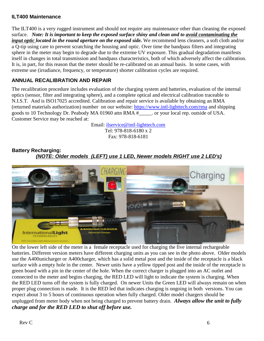#### **ILT400 Maintenance**

The ILT400 is a very rugged instrument and should not require any maintenance other than cleaning the exposed surface. *Note: It is important to keep the exposed surface shiny and clean and to avoid contaminating the input optic located in the round aperture on the exposed side.* We recommend lens cleaners, a soft cloth and/or a Q-tip using care to prevent scratching the housing and optic. Over time the bandpass filters and integrating sphere in the meter may begin to degrade due to the extreme UV exposure. This gradual degradation manifests itself in changes in total transmission and bandpass characteristics, both of which adversely affect the calibration. It is, in part, for this reason that the meter should be re-calibrated on an annual basis. In some cases, with extreme use (irradiance, frequency, or temperature) shorter calibration cycles are required.

#### **ANNUAL RECALIBRATION AND REPAIR**

The recalibration procedure includes evaluation of the charging system and batteries, evaluation of the internal optics (sensor, filter and integrating sphere), and a complete optical and electrical calibration traceable to N.I.S.T. And is ISO17025 accredited. Calibration and repair service is available by obtaining an RMA (returned materials authorization) number on our website: https://www.intl-lighttech.com/rma and shipping goods to 10 Technology Dr. Peabody MA 01960 attn RMA #\_\_\_\_\_. or your local rep. outside of USA. Customer Service may be reached at:

> Email: ilservice@intl-lighttech.com Tel: 978-818-6180 x 2 Fax: 978-818-6181

**Battery Recharging: (NOTE: Older models (LEFT) use 1 LED, Newer models RIGHT use 2 LED's)**



On the lower left side of the meter is a female receptacle used for charging the five internal rechargeable batteries. Different version meters have different charging units as you can see in the photo above. Older models use the A400unicharger or A400charger, which has a solid metal post and the inside of the receptacle is a black surface with a empty hole in the center. Newer units have a yellow tipped post and the inside of the receptacle is green board with a pin in the center of the hole. When the correct charger is plugged into an AC outlet and connected to the meter and begins charging, the RED LED will light to indicate the system is charging. When the RED LED turns off the system is fully charged. On newer Units the Green LED will always remain on when proper plug connection is made. It is the RED led that indicates charging is ongoing in both versions. You can expect about 3 to 5 hours of continuous operation when fully charged. Older model chargers should be unplugged from meter body when not being charged to prevent battery drain. *Always allow the unit to fully charge and for the RED LED to shut off before use.*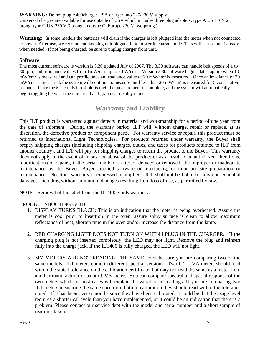**WARNING:** Do not plug A400charger USA charger into 220/230 V supply Universal charges are available for use outside of USA which includes three plug adapters: type A US 110V 2 prong, type G UK 230 V 3 prong, and type C Europe 230 V two prong.)

**Warning:** In some models the batteries will drain if the charger is left plugged into the meter when not connected to power. After use, we recommend keeping unit plugged in to power in charge mode. This will assure unit is ready when needed. If not being charged, be sure to unplug charger from unit.

#### **Software**

The most current software is version is 3.30 updated July of 2007. The 3.30 software can handle belt speeds of 1 to 80 fpm, and irradiance values from  $1 \text{mW/cm}^2$  up to 20 W/cm<sup>2</sup>. Version 3.30 software begins data capture when 10 mW/cm<sup>2</sup> is measured and can profile once an irradiance value of 20 mW/cm<sup>2</sup> is measured. Once an irradiance of 20  $mW/cm<sup>2</sup>$  is measured, the system will continue to measure until less than 20 mW/cm<sup>2</sup> is measured for 5 consecutive seconds. Once the 5 seconds threshold is met, the measurement is complete, and the system will automatically begin toggling between the numerical and graphical display modes.

### **Warranty and Liability**

This ILT product is warranted against defects in material and workmanship for a period of one year from the date of shipment. During the warranty period, ILT will, without charge, repair or replace, at its discretion, the defective product or component parts. For warranty service or repair, this product must be returned to International Light Technologies. For products returned under warranty, the Buyer shall prepay shipping charges (including shipping charges, duties, and taxes for products returned to ILT from another country), and ILT will pay for shipping charges to return the product to the Buyer. This warranty does not apply in the event of misuse or abuse of the product or as a result of unauthorized alterations, modifications or repairs, if the serial number is altered, defaced or removed, the improper or inadequate maintenance by the Buyer, Buyer-supplied software or interfacing, or improper site preparation or maintenance. No other warranty is expressed or implied. ILT shall not be liable for any consequential damages, including without limitation, damages resulting from loss of use, as permitted by law.

NOTE: Removal of the label from the ILT400 voids warranty.

#### TROUBLE SHOOTING GUIDE:

- 1. DISPLAY TURNS BLACK: This is an indication that the meter is being overheated. Assure the meter is cool prior to insertion in the oven, assure shiny surface is clean to allow maximum reflectance of heat, shorten time in the oven and/or increase the distance from the lamp.
- 2. RED CHARGING LIGHT DOES NOT TURN ON WHEN I PLUG IN THE CHARGER. If the charging plug is not inserted completely, the LED may not light. Remove the plug and reinsert fully into the charge jack. If the ILT400 is fully charged, the LED will not light.
- 3. MY METERS ARE NOT READING THE SAME. First be sure you are comparing two of the same models. ILT meters come in different spectral versions. Two ILT UVA meters should read within the stated tolerance on the calibration certificate, but may not read the same as a meter from another manufacturer or as our UVB meter. You can compare spectral and spatial response of the two meters which in most cases will explain the variation in readings. If you are comparing two ILT meters measuring the same spectrum, both in calibration they should read within the tolerance noted. If it has been over 6 months since they have been calibrated, it could be that the usage level requires a shorter cal cycle than you have implemented, or it could be an indication that there is a problem. Please contact our service dept with the model and serial number and a short sample of readings taken.